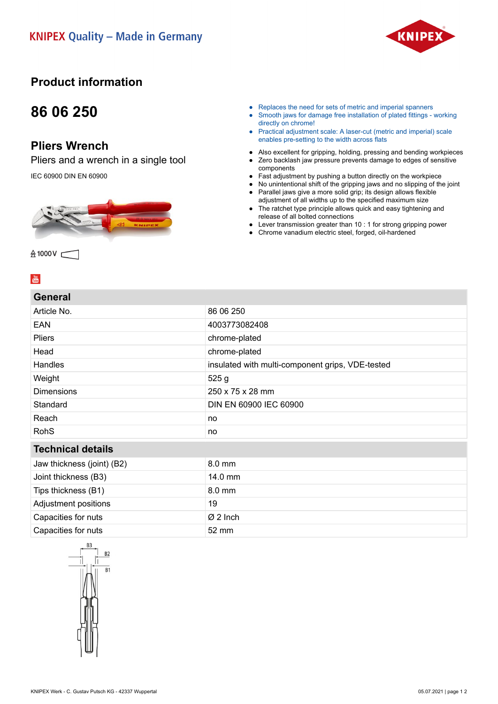

### **Product information**

## **86 06 250**

### **Pliers Wrench**

Pliers and a wrench in a single tool

IEC 60900 DIN EN 60900



- Replaces the need for sets of metric and imperial spanners
- Smooth jaws for damage free installation of plated fittings working directly on chrome!
- Practical adjustment scale: A laser-cut (metric and imperial) scale enables pre-setting to the width across flats
- Also excellent for gripping, holding, pressing and bending workpieces<br>● Zero backlash iaw pressure prevents damage to edges of sensitive Zero backlash jaw pressure prevents damage to edges of sensitive
- components
- Fast adjustment by pushing a button directly on the workpiece
- No unintentional shift of the gripping jaws and no slipping of the joint ● Parallel jaws give a more solid grip; its design allows flexible
- adjustment of all widths up to the specified maximum size ● The ratchet type principle allows quick and easy tightening and
- release of all bolted connections
- Lever transmission greater than 10 : 1 for strong gripping power
- Chrome vanadium electric steel, forged, oil-hardened

 $\frac{You}{(0.05)}$ 

#### **General**

**会1000V ←** 

| Article No.                | 86 06 250                                        |
|----------------------------|--------------------------------------------------|
| <b>EAN</b>                 | 4003773082408                                    |
| <b>Pliers</b>              | chrome-plated                                    |
| Head                       | chrome-plated                                    |
| Handles                    | insulated with multi-component grips, VDE-tested |
| Weight                     | 525g                                             |
| <b>Dimensions</b>          | 250 x 75 x 28 mm                                 |
| Standard                   | DIN EN 60900 IEC 60900                           |
| Reach                      | no                                               |
| <b>RohS</b>                | no                                               |
| <b>Technical details</b>   |                                                  |
| Jaw thickness (joint) (B2) | 8.0 mm                                           |
| Joint thickness (B3)       | 14.0 mm                                          |
| Tips thickness (B1)        | 8.0 mm                                           |
| Adjustment positions       | 19                                               |
| Capacities for nuts        | $\varnothing$ 2 Inch                             |